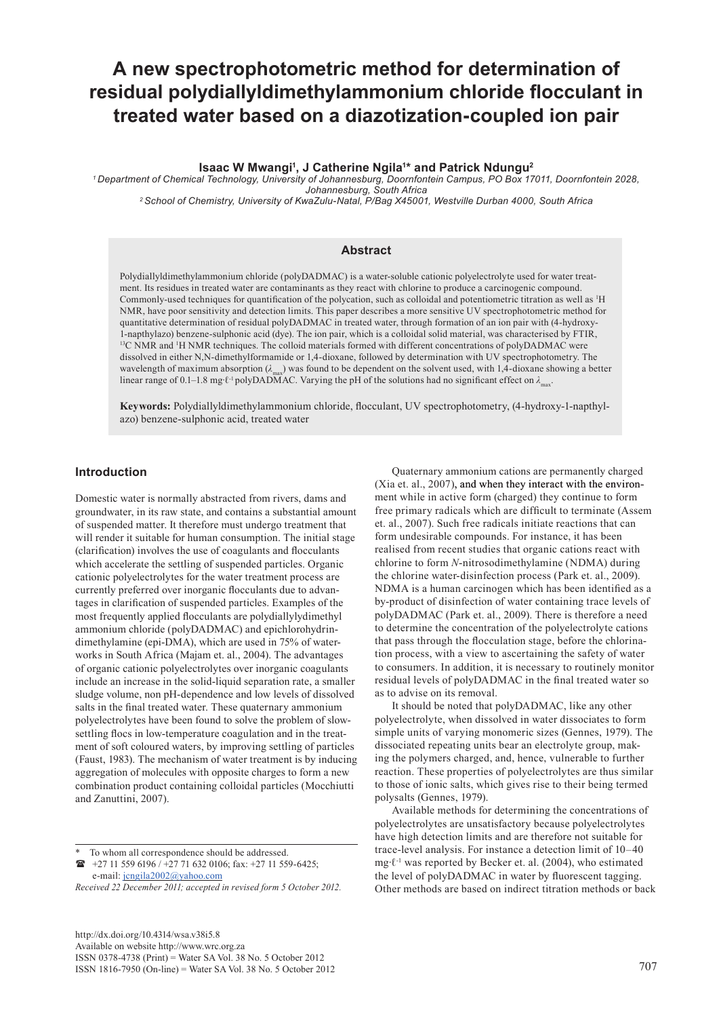# **A new spectrophotometric method for determination of residual polydiallyldimethylammonium chloride flocculant in treated water based on a diazotization-coupled ion pair**

#### **Isaac W Mwangi1 , J Catherine Ngila1 \* and Patrick Ndungu2**

*1 Department of Chemical Technology, University of Johannesburg, Doornfontein Campus, PO Box 17011, Doornfontein 2028, Johannesburg, South Africa*

*2 School of Chemistry, University of KwaZulu-Natal, P/Bag X45001, Westville Durban 4000, South Africa*

#### **Abstract**

Polydiallyldimethylammonium chloride (polyDADMAC) is a water-soluble cationic polyelectrolyte used for water treatment. Its residues in treated water are contaminants as they react with chlorine to produce a carcinogenic compound. Commonly-used techniques for quantification of the polycation, such as colloidal and potentiometric titration as well as <sup>1</sup> H NMR, have poor sensitivity and detection limits. This paper describes a more sensitive UV spectrophotometric method for quantitative determination of residual polyDADMAC in treated water, through formation of an ion pair with (4-hydroxy-1-napthylazo) benzene-sulphonic acid (dye). The ion pair, which is a colloidal solid material, was characterised by FTIR, <sup>13</sup>C NMR and <sup>1</sup>H NMR techniques. The colloid materials formed with different concentrations of polyDADMAC were dissolved in either N,N-dimethylformamide or 1,4-dioxane, followed by determination with UV spectrophotometry. The wavelength of maximum absorption  $(\lambda_{\text{max}})$  was found to be dependent on the solvent used, with 1,4-dioxane showing a better linear range of 0.1–1.8 mg∙ℓ-1 polyDADMAC. Varying the pH of the solutions had no significant effect on *λ*max.

**Keywords:** Polydiallyldimethylammonium chloride, flocculant, UV spectrophotometry, (4-hydroxy-1-napthylazo) benzene-sulphonic acid, treated water

# **Introduction**

Domestic water is normally abstracted from rivers, dams and groundwater, in its raw state, and contains a substantial amount of suspended matter. It therefore must undergo treatment that will render it suitable for human consumption. The initial stage (clarification) involves the use of coagulants and flocculants which accelerate the settling of suspended particles. Organic cationic polyelectrolytes for the water treatment process are currently preferred over inorganic flocculants due to advantages in clarification of suspended particles. Examples of the most frequently applied flocculants are polydiallylydimethyl ammonium chloride (polyDADMAC) and epichlorohydrindimethylamine (epi-DMA), which are used in 75% of waterworks in South Africa (Majam et. al., 2004). The advantages of organic cationic polyelectrolytes over inorganic coagulants include an increase in the solid-liquid separation rate, a smaller sludge volume, non pH-dependence and low levels of dissolved salts in the final treated water. These quaternary ammonium polyelectrolytes have been found to solve the problem of slowsettling flocs in low-temperature coagulation and in the treatment of soft coloured waters, by improving settling of particles (Faust, 1983). The mechanism of water treatment is by inducing aggregation of molecules with opposite charges to form a new combination product containing colloidal particles (Mocchiutti and Zanuttini, 2007).

To whom all correspondence should be addressed.

*Received 22 December 2011; accepted in revised form 5 October 2012.*

[http://dx.doi.org/10.4314/wsa.v38i5.8](http://dx.doi.org/10.4314/wsa.v37i4.18) Available on website http://www.wrc.org.za ISSN 0378-4738 (Print) = Water SA Vol. 38 No. 5 October 2012 ISSN 1816-7950 (On-line) = Water SA Vol. 38 No. 5 October 2012 707

Quaternary ammonium cations are permanently charged (Xia et. al., 2007), and when they interact with the environment while in active form (charged) they continue to form free primary radicals which are difficult to terminate (Assem et. al., 2007). Such free radicals initiate reactions that can form undesirable compounds. For instance, it has been realised from recent studies that organic cations react with chlorine to form *N*-nitrosodimethylamine (NDMA) during the chlorine water-disinfection process (Park et. al., 2009). NDMA is a human carcinogen which has been identified as a by-product of disinfection of water containing trace levels of polyDADMAC (Park et. al., 2009). There is therefore a need to determine the concentration of the polyelectrolyte cations that pass through the flocculation stage, before the chlorination process, with a view to ascertaining the safety of water to consumers. In addition, it is necessary to routinely monitor residual levels of polyDADMAC in the final treated water so as to advise on its removal.

It should be noted that polyDADMAC, like any other polyelectrolyte, when dissolved in water dissociates to form simple units of varying monomeric sizes (Gennes, 1979). The dissociated repeating units bear an electrolyte group, making the polymers charged, and, hence, vulnerable to further reaction. These properties of polyelectrolytes are thus similar to those of ionic salts, which gives rise to their being termed polysalts (Gennes, 1979).

Available methods for determining the concentrations of polyelectrolytes are unsatisfactory because polyelectrolytes have high detection limits and are therefore not suitable for trace-level analysis. For instance a detection limit of 10–40 mg∙ℓ-1 was reported by Becker et. al. (2004), who estimated the level of polyDADMAC in water by fluorescent tagging. Other methods are based on indirect titration methods or back

 $\rightarrow$  +27 11 559 6196 / +27 71 632 0106; fax: +27 11 559-6425; e-mail: [jcngila2002@yahoo.com](mailto:jcngila2002@yahoo.com)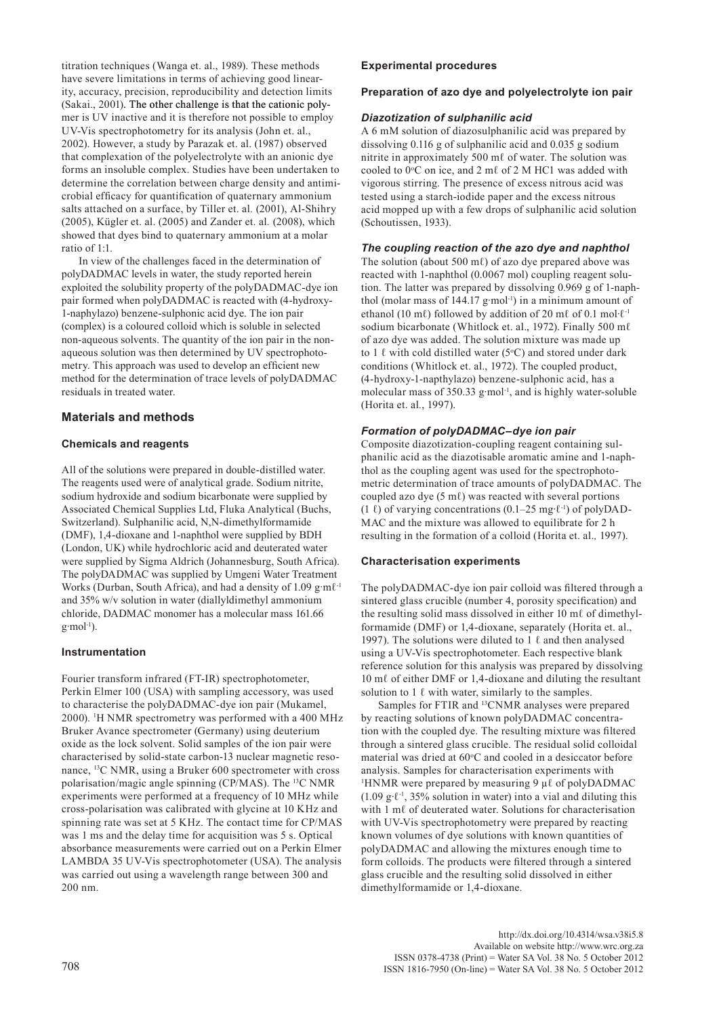titration techniques (Wanga et. al., 1989). These methods have severe limitations in terms of achieving good linearity, accuracy, precision, reproducibility and detection limits (Sakai., 2001). The other challenge is that the cationic polymer is UV inactive and it is therefore not possible to employ UV-Vis spectrophotometry for its analysis (John et. al., 2002). However, a study by Parazak et. al. (1987) observed that complexation of the polyelectrolyte with an anionic dye forms an insoluble complex. Studies have been undertaken to determine the correlation between charge density and antimicrobial efficacy for quantification of quaternary ammonium salts attached on a surface, by Tiller et. al*.* (2001), Al-Shihry (2005), Kügler et. al. (2005) and Zander et. al*.* (2008), which showed that dyes bind to quaternary ammonium at a molar ratio of 1:1.

In view of the challenges faced in the determination of polyDADMAC levels in water, the study reported herein exploited the solubility property of the polyDADMAC-dye ion pair formed when polyDADMAC is reacted with (4-hydroxy-1-naphylazo) benzene-sulphonic acid dye. The ion pair (complex) is a coloured colloid which is soluble in selected non-aqueous solvents. The quantity of the ion pair in the nonaqueous solution was then determined by UV spectrophotometry. This approach was used to develop an efficient new method for the determination of trace levels of polyDADMAC residuals in treated water.

# **Materials and methods**

## **Chemicals and reagents**

All of the solutions were prepared in double-distilled water. The reagents used were of analytical grade. Sodium nitrite, sodium hydroxide and sodium bicarbonate were supplied by Associated Chemical Supplies Ltd, Fluka Analytical (Buchs, Switzerland). Sulphanilic acid, N,N-dimethylformamide (DMF), 1,4-dioxane and 1-naphthol were supplied by BDH (London, UK) while hydrochloric acid and deuterated water were supplied by Sigma Aldrich (Johannesburg, South Africa). The polyDADMAC was supplied by Umgeni Water Treatment Works (Durban, South Africa), and had a density of 1.09 g·mℓ-1 and 35% w/v solution in water (diallyldimethyl ammonium chloride, DADMAC monomer has a molecular mass 161.66  $g$ ⋅mol<sup>-1</sup>).

## **Instrumentation**

Fourier transform infrared (FT-IR) spectrophotometer, Perkin Elmer 100 (USA) with sampling accessory, was used to characterise the polyDADMAC-dye ion pair (Mukamel, 2000). 1 H NMR spectrometry was performed with a 400 MHz Bruker Avance spectrometer (Germany) using deuterium oxide as the lock solvent. Solid samples of the ion pair were characterised by solid-state carbon-13 nuclear magnetic resonance, <sup>13</sup>C NMR, using a Bruker 600 spectrometer with cross polarisation/magic angle spinning (CP/MAS). The 13C NMR experiments were performed at a frequency of 10 MHz while cross-polarisation was calibrated with glycine at 10 KHz and spinning rate was set at 5 KHz. The contact time for CP/MAS was 1 ms and the delay time for acquisition was 5 s. Optical absorbance measurements were carried out on a Perkin Elmer LAMBDA 35 UV-Vis spectrophotometer (USA). The analysis was carried out using a wavelength range between 300 and 200 nm.

## **Experimental procedures**

## **Preparation of azo dye and polyelectrolyte ion pair**

## *Diazotization of sulphanilic acid*

A 6 mM solution of diazosulphanilic acid was prepared by dissolving 0.116 g of sulphanilic acid and 0.035 g sodium nitrite in approximately 500 mℓ of water. The solution was cooled to  $0^{\circ}$ C on ice, and 2 m $\ell$  of 2 M HC1 was added with vigorous stirring. The presence of excess nitrous acid was tested using a starch-iodide paper and the excess nitrous acid mopped up with a few drops of sulphanilic acid solution (Schoutissen, 1933).

## *The coupling reaction of the azo dye and naphthol*

The solution (about 500 mℓ) of azo dye prepared above was reacted with 1-naphthol (0.0067 mol) coupling reagent solution. The latter was prepared by dissolving 0.969 g of 1-naphthol (molar mass of 144.17 g∙mol-1) in a minimum amount of ethanol (10 mℓ) followed by addition of 20 mℓ of 0.1 mol⋅ℓ<sup>-1</sup> sodium bicarbonate (Whitlock et. al., 1972). Finally 500 m $\ell$ of azo dye was added. The solution mixture was made up to 1  $\ell$  with cold distilled water (5°C) and stored under dark conditions (Whitlock et. al., 1972). The coupled product, (4-hydroxy-1-napthylazo) benzene-sulphonic acid, has a molecular mass of 350.33 g∙mol-1, and is highly water-soluble (Horita et. al*.*, 1997).

# *Formation of polyDADMAC–dye ion pair*

Composite diazotization-coupling reagent containing sulphanilic acid as the diazotisable aromatic amine and 1-naphthol as the coupling agent was used for the spectrophotometric determination of trace amounts of polyDADMAC. The coupled azo dye  $(5 \text{ m} \ell)$  was reacted with several portions (1 ℓ) of varying concentrations (0.1–25 mg⋅ℓ<sup>-1</sup>) of polyDAD-MAC and the mixture was allowed to equilibrate for 2 h resulting in the formation of a colloid (Horita et. al.*,* 1997).

## **Characterisation experiments**

The polyDADMAC-dye ion pair colloid was filtered through a sintered glass crucible (number 4, porosity specification) and the resulting solid mass dissolved in either 10 mℓ of dimethylformamide (DMF) or 1,4-dioxane, separately (Horita et. al., 1997). The solutions were diluted to 1  $\ell$  and then analysed using a UV-Vis spectrophotometer. Each respective blank reference solution for this analysis was prepared by dissolving 10 mℓ of either DMF or 1,4-dioxane and diluting the resultant solution to 1  $\ell$  with water, similarly to the samples.

Samples for FTIR and 13CNMR analyses were prepared by reacting solutions of known polyDADMAC concentration with the coupled dye. The resulting mixture was filtered through a sintered glass crucible. The residual solid colloidal material was dried at  $60^{\circ}$ C and cooled in a desiccator before analysis. Samples for characterisation experiments with <sup>1</sup>HNMR were prepared by measuring 9  $\mu\ell$  of polyDADMAC (1.09 g∙ℓ-1, 35% solution in water) into a vial and diluting this with 1 mℓ of deuterated water. Solutions for characterisation with UV-Vis spectrophotometry were prepared by reacting known volumes of dye solutions with known quantities of polyDADMAC and allowing the mixtures enough time to form colloids. The products were filtered through a sintered glass crucible and the resulting solid dissolved in either dimethylformamide or 1,4-dioxane.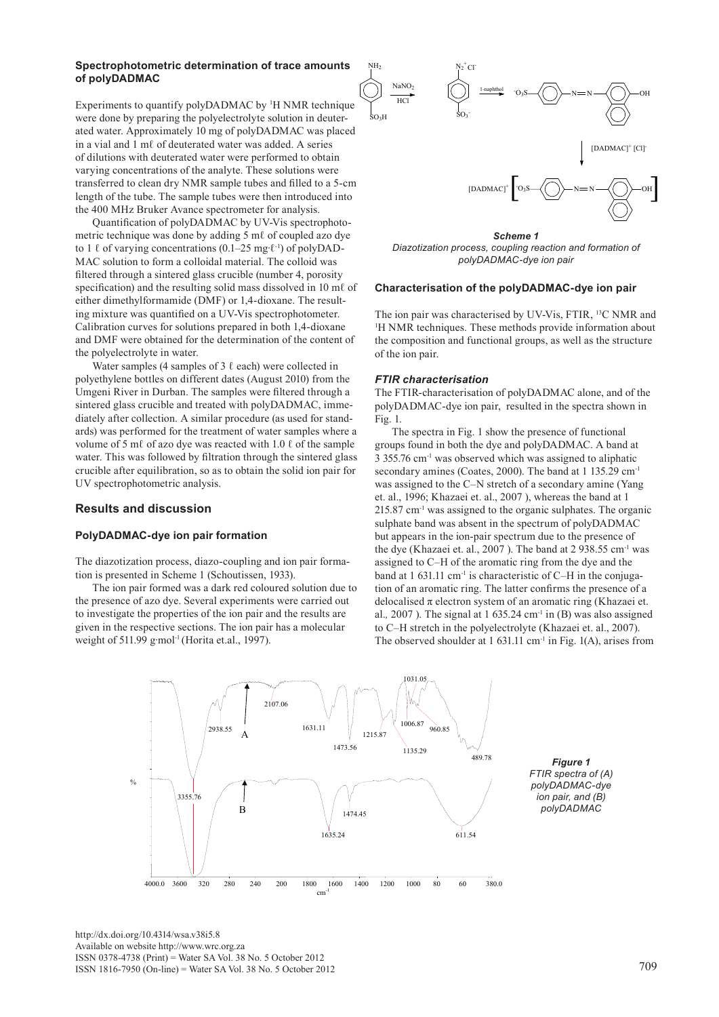#### **Spectrophotometric determination of trace amounts of polyDADMAC**

Experiments to quantify polyDADMAC by <sup>1</sup>H NMR technique were done by preparing the polyelectrolyte solution in deuterated water. Approximately 10 mg of polyDADMAC was placed in a vial and 1 mℓ of deuterated water was added. A series of dilutions with deuterated water were performed to obtain varying concentrations of the analyte. These solutions were transferred to clean dry NMR sample tubes and filled to a 5-cm length of the tube. The sample tubes were then introduced into the 400 MHz Bruker Avance spectrometer for analysis.

Quantification of polyDADMAC by UV-Vis spectrophotometric technique was done by adding 5 mℓ of coupled azo dye to 1  $\ell$  of varying concentrations (0.1–25 mg⋅ $\ell$ <sup>-1</sup>) of polyDAD-MAC solution to form a colloidal material. The colloid was filtered through a sintered glass crucible (number 4, porosity specification) and the resulting solid mass dissolved in 10 m $\ell$  of either dimethylformamide (DMF) or 1,4-dioxane. The resulting mixture was quantified on a UV-Vis spectrophotometer. Calibration curves for solutions prepared in both 1,4-dioxane and DMF were obtained for the determination of the content of the polyelectrolyte in water.

Water samples (4 samples of 3  $\ell$  each) were collected in polyethylene bottles on different dates (August 2010) from the Umgeni River in Durban. The samples were filtered through a sintered glass crucible and treated with polyDADMAC, immediately after collection. A similar procedure (as used for standards) was performed for the treatment of water samples where a volume of 5 m $\ell$  of azo dye was reacted with 1.0  $\ell$  of the sample water. This was followed by filtration through the sintered glass crucible after equilibration, so as to obtain the solid ion pair for UV spectrophotometric analysis.

## **Results and discussion**

#### **PolyDADMAC-dye ion pair formation**

The diazotization process, diazo-coupling and ion pair formation is presented in Scheme 1 (Schoutissen, 1933).

The ion pair formed was a dark red coloured solution due to the presence of azo dye. Several experiments were carried out to investigate the properties of the ion pair and the results are given in the respective sections. The ion pair has a molecular weight of 511.99 g⋅mol<sup>-1</sup> (Horita et.al., 1997).



*Diazotization process, coupling reaction and formation of polyDADMAC-dye ion pair* 

#### **Characterisation of the polyDADMAC-dye ion pair**

The ion pair was characterised by UV-Vis, FTIR, <sup>13</sup>C NMR and <sup>1</sup>H NMR techniques. These methods provide information about the composition and functional groups, as well as the structure of the ion pair.

#### *FTIR characterisation*

The FTIR-characterisation of polyDADMAC alone, and of the polyDADMAC-dye ion pair, resulted in the spectra shown in Fig. 1.

The spectra in Fig. 1 show the presence of functional groups found in both the dye and polyDADMAC. A band at 3 355.76 cm-1 was observed which was assigned to aliphatic secondary amines (Coates, 2000). The band at 1 135.29 cm<sup>-1</sup> was assigned to the C–N stretch of a secondary amine (Yang et. al., 1996; Khazaei et. al., 2007 ), whereas the band at 1  $215.87$  cm<sup>-1</sup> was assigned to the organic sulphates. The organic sulphate band was absent in the spectrum of polyDADMAC but appears in the ion-pair spectrum due to the presence of the dye (Khazaei et. al*.*, 2007 ). The band at 2 938.55 cm-1 was assigned to C–H of the aromatic ring from the dye and the band at 1 631.11 cm<sup>-1</sup> is characteristic of C–H in the conjugation of an aromatic ring. The latter confirms the presence of a delocalised  $\pi$  electron system of an aromatic ring (Khazaei et. al.*,* 2007 ). The signal at 1 635.24 cm-1 in (B) was also assigned to C–H stretch in the polyelectrolyte (Khazaei et. al., 2007). The observed shoulder at  $1.631.11 \text{ cm}^{-1}$  in Fig. 1(A), arises from



[http://dx.doi.org/10.4314/wsa.v38i5.8](http://dx.doi.org/10.4314/wsa.v37i4.18) Available on website http://www.wrc.org.za ISSN 0378-4738 (Print) = Water SA Vol. 38 No. 5 October 2012 ISSN 1816-7950 (On-line) = Water SA Vol. 38 No. 5 October 2012 709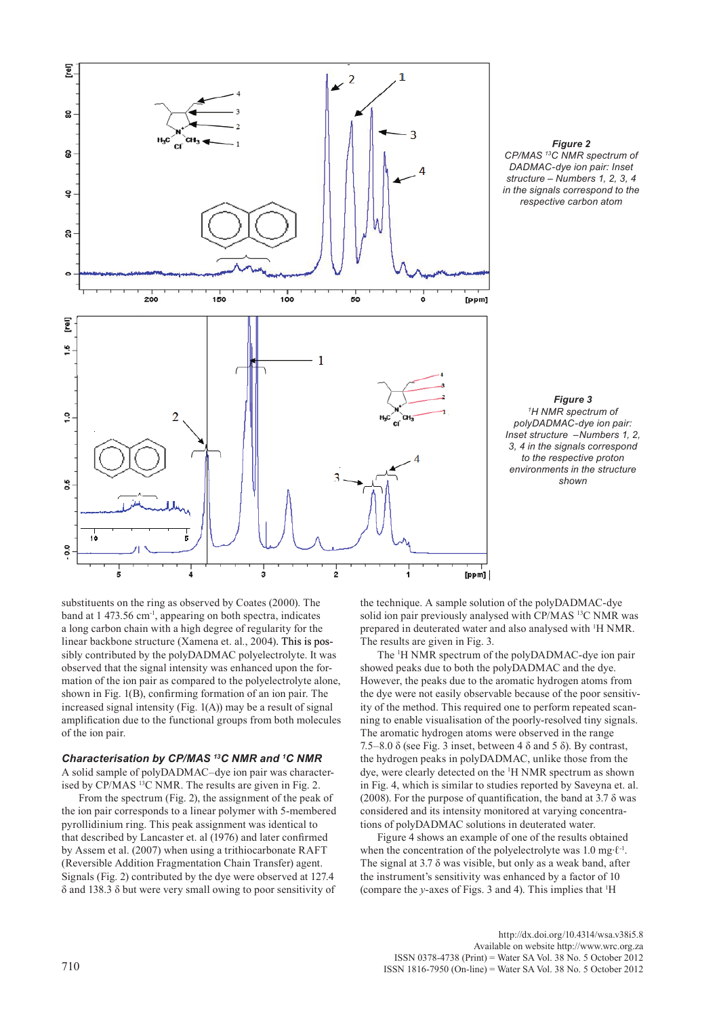



*Figure 3 1 H NMR spectrum of polyDADMAC-dye ion pair: Inset structure –Numbers 1, 2, 3, 4 in the signals correspond to the respective proton environments in the structure shown*

substituents on the ring as observed by Coates (2000). The band at 1 473.56 cm-1, appearing on both spectra, indicates a long carbon chain with a high degree of regularity for the linear backbone structure (Xamena et. al*.*, 2004). This is possibly contributed by the polyDADMAC polyelectrolyte. It was observed that the signal intensity was enhanced upon the formation of the ion pair as compared to the polyelectrolyte alone, shown in Fig. 1(B), confirming formation of an ion pair. The increased signal intensity (Fig. 1(A)) may be a result of signal amplification due to the functional groups from both molecules of the ion pair.

## *Characterisation by CP/MAS 13C NMR and 1 C NMR*

A solid sample of polyDADMAC–dye ion pair was characterised by CP/MAS 13C NMR. The results are given in Fig. 2.

From the spectrum (Fig. 2), the assignment of the peak of the ion pair corresponds to a linear polymer with 5-membered pyrollidinium ring. This peak assignment was identical to that described by Lancaster et. al (1976) and later confirmed by Assem et al. (2007) when using a trithiocarbonate RAFT (Reversible Addition Fragmentation Chain Transfer) agent. Signals (Fig. 2) contributed by the dye were observed at 127.4 δ and 138.3 δ but were very small owing to poor sensitivity of

the technique. A sample solution of the polyDADMAC-dye solid ion pair previously analysed with CP/MAS <sup>13</sup>C NMR was prepared in deuterated water and also analysed with 1 H NMR. The results are given in Fig. 3.

The <sup>1</sup>H NMR spectrum of the polyDADMAC-dye ion pair showed peaks due to both the polyDADMAC and the dye. However, the peaks due to the aromatic hydrogen atoms from the dye were not easily observable because of the poor sensitivity of the method. This required one to perform repeated scanning to enable visualisation of the poorly-resolved tiny signals. The aromatic hydrogen atoms were observed in the range 7.5–8.0  $\delta$  (see Fig. 3 inset, between 4  $\delta$  and 5  $\delta$ ). By contrast, the hydrogen peaks in polyDADMAC, unlike those from the dye, were clearly detected on the <sup>1</sup> H NMR spectrum as shown in Fig. 4, which is similar to studies reported by Saveyna et. al. (2008). For the purpose of quantification, the band at  $3.7 \delta$  was considered and its intensity monitored at varying concentrations of polyDADMAC solutions in deuterated water.

Figure 4 shows an example of one of the results obtained when the concentration of the polyelectrolyte was 1.0 mg∙ℓ-1. The signal at  $3.7 \delta$  was visible, but only as a weak band, after the instrument's sensitivity was enhanced by a factor of 10 (compare the *y*-axes of Figs. 3 and 4). This implies that <sup>1</sup> H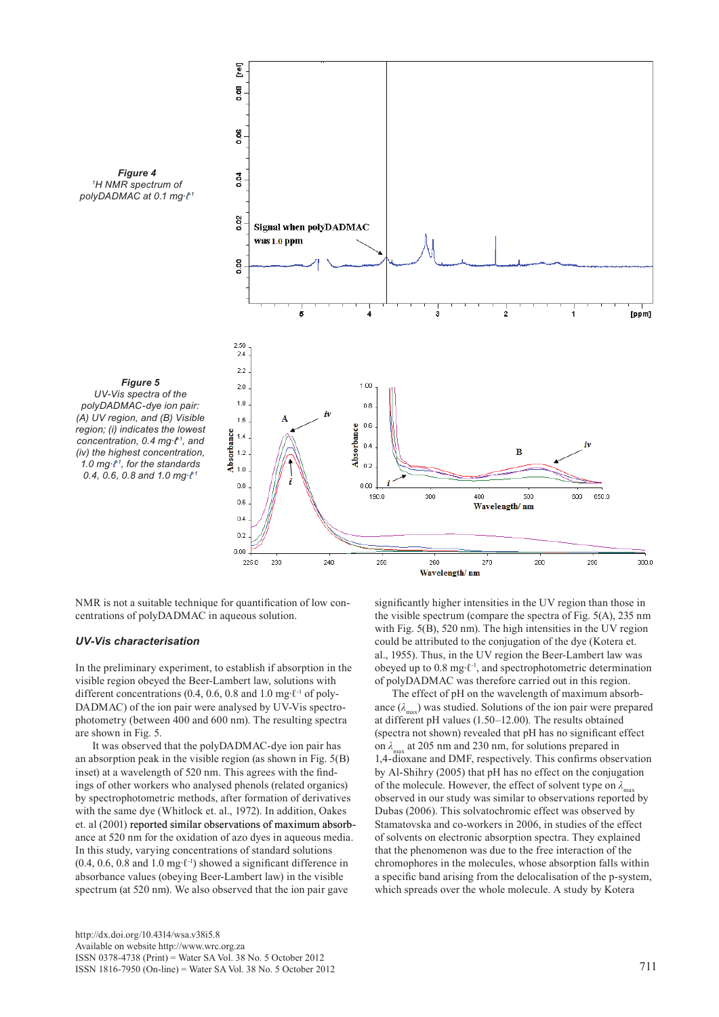

NMR is not a suitable technique for quantification of low concentrations of polyDADMAC in aqueous solution.

## *UV-Vis characterisation*

In the preliminary experiment, to establish if absorption in the visible region obeyed the Beer-Lambert law, solutions with different concentrations (0.4, 0.6, 0.8 and 1.0 mg∙ℓ-1 of poly-DADMAC) of the ion pair were analysed by UV-Vis spectrophotometry (between 400 and 600 nm). The resulting spectra are shown in Fig. 5.

It was observed that the polyDADMAC-dye ion pair has an absorption peak in the visible region (as shown in Fig. 5(B) inset) at a wavelength of 520 nm. This agrees with the findings of other workers who analysed phenols (related organics) by spectrophotometric methods, after formation of derivatives with the same dye (Whitlock et. al., 1972). In addition, Oakes et. al  $(2001)$  reported similar observations of maximum absorbance at 520 nm for the oxidation of azo dyes in aqueous media. In this study, varying concentrations of standard solutions (0.4, 0.6, 0.8 and 1.0 mg∙ℓ-1) showed a significant difference in absorbance values (obeying Beer-Lambert law) in the visible spectrum (at 520 nm). We also observed that the ion pair gave

significantly higher intensities in the UV region than those in the visible spectrum (compare the spectra of Fig. 5(A), 235 nm with Fig.  $5(B)$ , 520 nm). The high intensities in the UV region could be attributed to the conjugation of the dye (Kotera et. al., 1955). Thus, in the UV region the Beer-Lambert law was obeyed up to 0.8 mg∙ℓ-1, and spectrophotometric determination of polyDADMAC was therefore carried out in this region.

The effect of pH on the wavelength of maximum absorbance  $(\lambda_{\text{max}})$  was studied. Solutions of the ion pair were prepared at different pH values (1.50–12.00). The results obtained (spectra not shown) revealed that pH has no significant effect on  $\lambda_{\text{max}}$  at 205 nm and 230 nm, for solutions prepared in 1,4-dioxane and DMF, respectively. This confirms observation by Al-Shihry (2005) that pH has no effect on the conjugation of the molecule. However, the effect of solvent type on  $\lambda_{\text{max}}$ observed in our study was similar to observations reported by Dubas (2006). This solvatochromic effect was observed by Stamatovska and co-workers in 2006, in studies of the effect of solvents on electronic absorption spectra. They explained that the phenomenon was due to the free interaction of the chromophores in the molecules, whose absorption falls within a specific band arising from the delocalisation of the p-system, which spreads over the whole molecule. A study by Kotera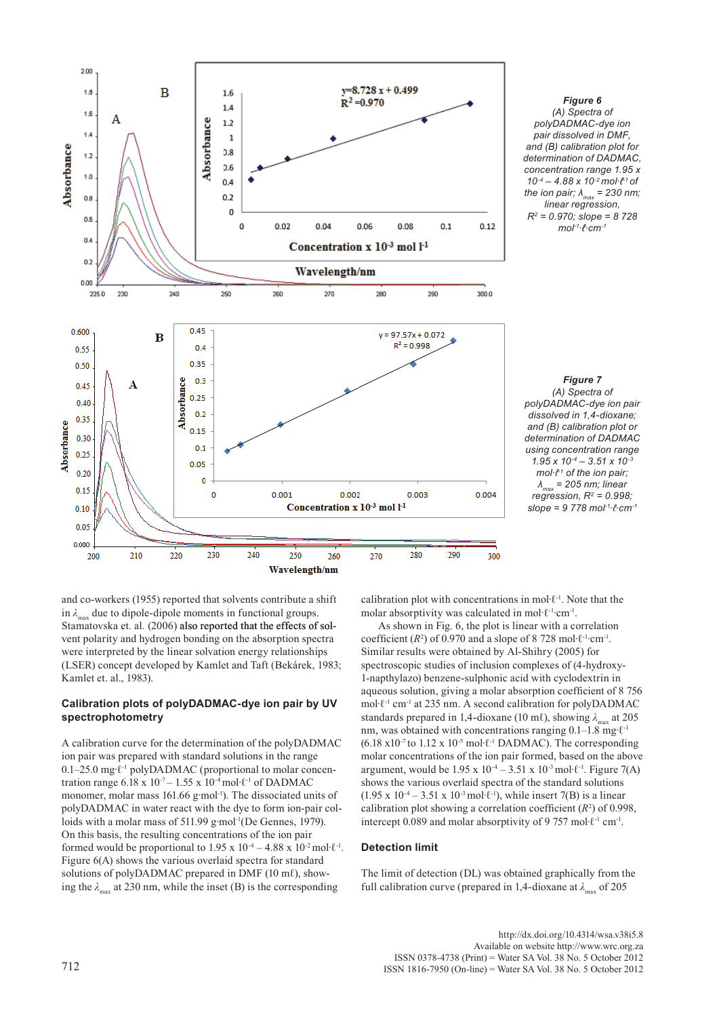

*Figure 6 (A) Spectra of polyDADMAC-dye ion pair dissolved in DMF, and (B) calibration plot for determination of DADMAC, concentration range 1.95 x 10-4 – 4.88 x 10-2 mol∙ℓ-1 of the ion pair; λmax = 230 nm; linear regression, R2 = 0.970; slope = 8 728 mol-1∙ℓ·cm-1*

*Figure 7 (A) Spectra of polyDADMAC-dye ion pair dissolved in 1,4-dioxane; and (B) calibration plot or determination of DADMAC using concentration range 1.95 x 10-4 – 3.51 x 10-3 mol∙t<sup>+1</sup>* of the ion pair; *λmax = 205 nm; linear regression, R2 = 0.998; slope = 9 778 mol-1∙ℓ∙cm-1*

and co-workers (1955) reported that solvents contribute a shift in  $\lambda_{\text{max}}$  due to dipole-dipole moments in functional groups. Stamatovska et. al. (2006) also reported that the effects of solvent polarity and hydrogen bonding on the absorption spectra were interpreted by the linear solvation energy relationships (LSER) concept developed by Kamlet and Taft (Bekárek, 1983; Kamlet et. al., 1983).

## **Calibration plots of polyDADMAC-dye ion pair by UV spectrophotometry**

A calibration curve for the determination of the polyDADMAC ion pair was prepared with standard solutions in the range 0.1–25.0 mg∙ℓ-1 polyDADMAC (proportional to molar concentration range 6.18 x  $10^{-7} - 1.55$  x  $10^{-4}$  mol⋅ $\ell$ <sup>-1</sup> of DADMAC monomer, molar mass 161.66 g⋅mol<sup>-1</sup>). The dissociated units of polyDADMAC in water react with the dye to form ion-pair colloids with a molar mass of 511.99 g∙mol-1(De Gennes, 1979). On this basis, the resulting concentrations of the ion pair formed would be proportional to 1.95 x  $10^{-4} - 4.88$  x  $10^{-2}$  mol⋅ $\ell$ <sup>-1</sup>. Figure 6(A) shows the various overlaid spectra for standard solutions of polyDADMAC prepared in DMF  $(10 \text{ m} \ell)$ , showing the  $\lambda_{\text{max}}$  at 230 nm, while the inset (B) is the corresponding

calibration plot with concentrations in mol∙ℓ-1. Note that the molar absorptivity was calculated in mol·ℓ-1∙cm-1.

As shown in Fig. 6, the plot is linear with a correlation coefficient  $(R^2)$  of 0.970 and a slope of 8 728 mol⋅ $\ell$ <sup>-1</sup>⋅cm<sup>-1</sup>. Similar results were obtained by Al-Shihry (2005) for spectroscopic studies of inclusion complexes of (4-hydroxy-1-napthylazo) benzene-sulphonic acid with cyclodextrin in aqueous solution, giving a molar absorption coefficient of 8 756 mol∙ℓ-1 cm-1 at 235 nm. A second calibration for polyDADMAC standards prepared in 1,4-dioxane (10 ml), showing  $\lambda_{\text{max}}$  at 205 nm, was obtained with concentrations ranging 0.1–1.8 mg⋅ $\ell$ <sup>-1</sup> (6.18 x10-7 to 1.12 x 10-5 mol∙ℓ-1 DADMAC). The corresponding molar concentrations of the ion pair formed, based on the above argument, would be 1.95 x  $10^{-4} - 3.51$  x  $10^{-3}$  mol⋅ℓ<sup>-1</sup>. Figure 7(A) shows the various overlaid spectra of the standard solutions (1.95 x 10<sup>-4</sup> – 3.51 x 10<sup>-3</sup> mol⋅ $\ell$ <sup>-1</sup>), while insert 7(B) is a linear calibration plot showing a correlation coefficient  $(R^2)$  of 0.998, intercept 0.089 and molar absorptivity of 9 757 mol∙ℓ-1 cm-1.

## **Detection limit**

The limit of detection (DL) was obtained graphically from the full calibration curve (prepared in 1,4-dioxane at  $\lambda_{\text{max}}$  of 205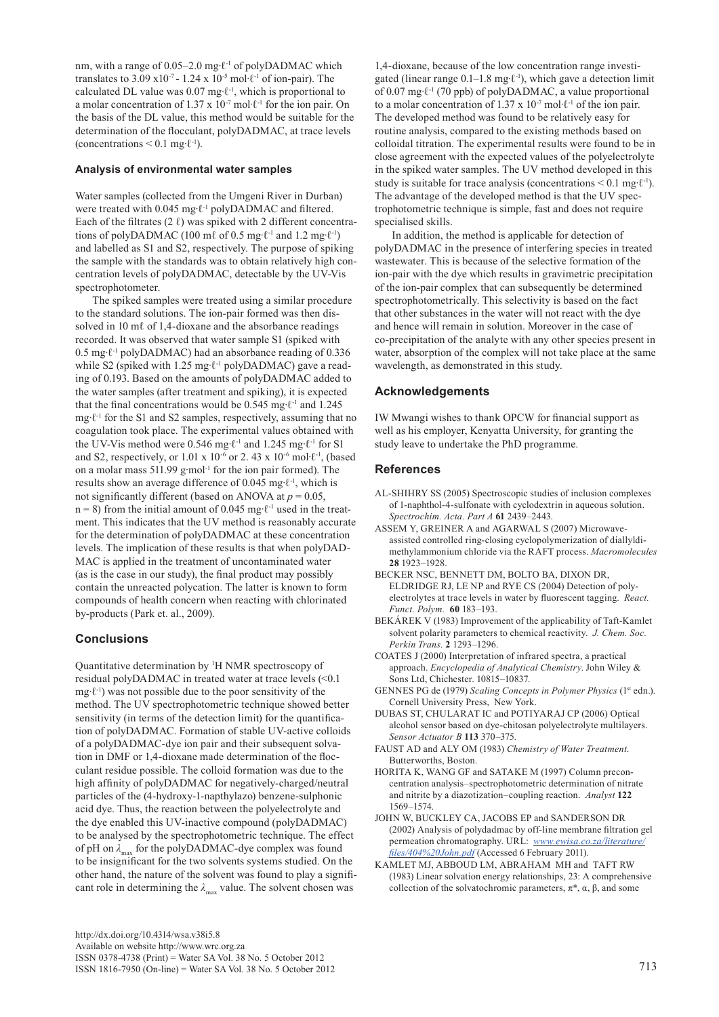nm, with a range of 0.05–2.0 mg⋅ℓ<sup>-1</sup> of polyDADMAC which translates to 3.09 x10<sup>-7</sup> - 1.24 x 10<sup>-5</sup> mol⋅ $\ell$ <sup>-1</sup> of ion-pair). The calculated DL value was 0.07 mg∙ℓ-1, which is proportional to a molar concentration of 1.37 x 10-7 mol∙ℓ-1 for the ion pair. On the basis of the DL value, this method would be suitable for the determination of the flocculant, polyDADMAC, at trace levels (concentrations  $\leq 0.1$  mg⋅ $\ell$ <sup>-1</sup>).

## **Analysis of environmental water samples**

Water samples (collected from the Umgeni River in Durban) were treated with 0.045 mg⋅ℓ<sup>-1</sup> polyDADMAC and filtered. Each of the filtrates (2  $\ell$ ) was spiked with 2 different concentrations of polyDADMAC (100 mℓ of 0.5 mg⋅ $\ell$ <sup>-1</sup> and 1.2 mg⋅ $\ell$ <sup>-1</sup>) and labelled as S1 and S2, respectively. The purpose of spiking the sample with the standards was to obtain relatively high concentration levels of polyDADMAC, detectable by the UV-Vis spectrophotometer.

The spiked samples were treated using a similar procedure to the standard solutions. The ion-pair formed was then dissolved in 10 m $\ell$  of 1,4-dioxane and the absorbance readings recorded. It was observed that water sample S1 (spiked with 0.5 mg∙ℓ-1 polyDADMAC) had an absorbance reading of 0.336 while S2 (spiked with 1.25 mg⋅ℓ<sup>-1</sup> polyDADMAC) gave a reading of 0.193. Based on the amounts of polyDADMAC added to the water samples (after treatment and spiking), it is expected that the final concentrations would be 0.545 mg∙ℓ-1 and 1.245 mg∙ℓ-1 for the S1 and S2 samples, respectively, assuming that no coagulation took place. The experimental values obtained with the UV-Vis method were 0.546 mg∙ℓ-1 and 1.245 mg∙ℓ-1 for S1 and S2, respectively, or 1.01 x 10<sup>-6</sup> or 2.43 x 10<sup>-6</sup> mol⋅ $\ell$ <sup>-1</sup>, (based on a molar mass 511.99 g∙mol-1 for the ion pair formed). The results show an average difference of 0.045 mg∙ℓ-1, which is not significantly different (based on ANOVA at *p* = 0.05, n = 8) from the initial amount of 0.045 mg⋅ $\ell$ <sup>-1</sup> used in the treatment. This indicates that the UV method is reasonably accurate for the determination of polyDADMAC at these concentration levels. The implication of these results is that when polyDAD-MAC is applied in the treatment of uncontaminated water (as is the case in our study), the final product may possibly contain the unreacted polycation. The latter is known to form compounds of health concern when reacting with chlorinated by-products (Park et. al., 2009).

# **Conclusions**

Quantitative determination by 1 H NMR spectroscopy of residual polyDADMAC in treated water at trace levels (<0.1 mg∙ℓ-1) was not possible due to the poor sensitivity of the method. The UV spectrophotometric technique showed better sensitivity (in terms of the detection limit) for the quantification of polyDADMAC. Formation of stable UV-active colloids of a polyDADMAC-dye ion pair and their subsequent solvation in DMF or 1,4-dioxane made determination of the flocculant residue possible. The colloid formation was due to the high affinity of polyDADMAC for negatively-charged/neutral particles of the (4-hydroxy-1-napthylazo) benzene-sulphonic acid dye. Thus, the reaction between the polyelectrolyte and the dye enabled this UV-inactive compound (polyDADMAC) to be analysed by the spectrophotometric technique. The effect of pH on  $λ_{max}$  for the polyDADMAC-dye complex was found to be insignificant for the two solvents systems studied. On the other hand, the nature of the solvent was found to play a significant role in determining the  $\lambda_{\text{max}}$  value. The solvent chosen was

1,4-dioxane, because of the low concentration range investigated (linear range  $0.1-1.8$  mg⋅ $\ell$ <sup>-1</sup>), which gave a detection limit of 0.07 mg∙ℓ-1 (70 ppb) of polyDADMAC, a value proportional to a molar concentration of 1.37 x  $10^{-7}$  mol⋅ $\ell$ <sup>-1</sup> of the ion pair. The developed method was found to be relatively easy for routine analysis, compared to the existing methods based on colloidal titration. The experimental results were found to be in close agreement with the expected values of the polyelectrolyte in the spiked water samples. The UV method developed in this study is suitable for trace analysis (concentrations  $\leq 0.1$  mg⋅ $\ell$ <sup>-1</sup>). The advantage of the developed method is that the UV spectrophotometric technique is simple, fast and does not require specialised skills. In addition, the method is applicable for detection of

polyDADMAC in the presence of interfering species in treated wastewater. This is because of the selective formation of the ion-pair with the dye which results in gravimetric precipitation of the ion-pair complex that can subsequently be determined spectrophotometrically. This selectivity is based on the fact that other substances in the water will not react with the dye and hence will remain in solution. Moreover in the case of co-precipitation of the analyte with any other species present in water, absorption of the complex will not take place at the same wavelength, as demonstrated in this study.

# **Acknowledgements**

IW Mwangi wishes to thank OPCW for financial support as well as his employer, Kenyatta University, for granting the study leave to undertake the PhD programme.

# **References**

- AL-SHIHRY SS (2005) Spectroscopic studies of inclusion complexes of 1-naphthol-4-sulfonate with cyclodextrin in aqueous solution. *Spectrochim. Acta. Part A* **61** 2439–2443.
- ASSEM Y, GREINER A and AGARWAL S (2007) Microwaveassisted controlled ring-closing cyclopolymerization of diallyldimethylammonium chloride via the RAFT process. *Macromolecules* **28** 1923–1928.
- BECKER NSC, BENNETT DM, BOLTO BA, DIXON DR, ELDRIDGE RJ, LE NP and RYE CS (2004) Detection of polyelectrolytes at trace levels in water by fluorescent tagging. *React. Funct. Polym.* **60** 183–193.
- BEKÁREK V (1983) Improvement of the applicability of Taft-Kamlet solvent polarity parameters to chemical reactivity. *J. Chem. Soc. Perkin Trans.* **2** 1293–1296.
- COATES J (2000) Interpretation of infrared spectra, a practical approach. *Encyclopedia of Analytical Chemistry*. John Wiley & Sons Ltd, Chichester. 10815–10837.
- GENNES PG de (1979) *Scaling Concepts in Polymer Physics* (1st edn.). Cornell University Press, New York.
- DUBAS ST, CHULARAT IC and POTIYARAJ CP (2006) Optical alcohol sensor based on dye-chitosan polyelectrolyte multilayers. *Sensor Actuator B* **113** 370–375.
- FAUST AD and ALY OM (1983) *Chemistry of Water Treatment*. Butterworths, Boston.
- HORITA K, WANG GF and SATAKE M (1997) Column preconcentration analysis–spectrophotometric determination of nitrate and nitrite by a diazotization–coupling reaction. *Analyst* **122** 1569–1574.
- JOHN W, BUCKLEY CA, JACOBS EP and SANDERSON DR (2002) Analysis of polydadmac by off-line membrane filtration gel permeation chromatography. URL: *www.ewisa.co.za/literature/ files/404%20John.pdf* (Accessed 6 February 2011).
- KAMLET MJ, ABBOUD LM, ABRAHAM MH and TAFT RW (1983) Linear solvation energy relationships, 23: A comprehensive collection of the solvatochromic parameters,  $\pi^*$ ,  $\alpha$ ,  $\beta$ , and some